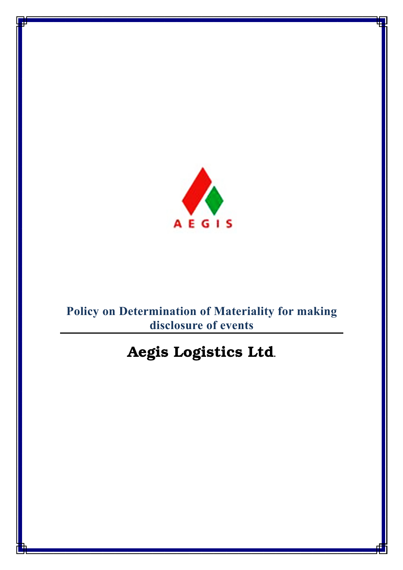

# **Policy on Determination of Materiality for making disclosure of events**

# Aegis Logistics Ltd**.**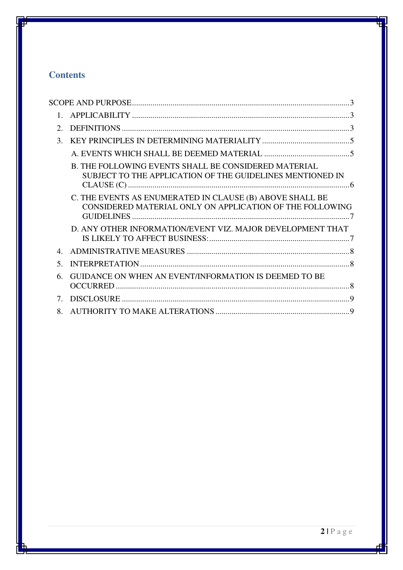# **Contents**

| $\mathcal{D}$ |                                                                                                                          |  |
|---------------|--------------------------------------------------------------------------------------------------------------------------|--|
| $\mathcal{E}$ |                                                                                                                          |  |
|               |                                                                                                                          |  |
|               | <b>B. THE FOLLOWING EVENTS SHALL BE CONSIDERED MATERIAL</b><br>SUBJECT TO THE APPLICATION OF THE GUIDELINES MENTIONED IN |  |
|               | C. THE EVENTS AS ENUMERATED IN CLAUSE (B) ABOVE SHALL BE<br>CONSIDERED MATERIAL ONLY ON APPLICATION OF THE FOLLOWING     |  |
|               | D. ANY OTHER INFORMATION/EVENT VIZ. MAJOR DEVELOPMENT THAT                                                               |  |
| $\mathbf 4$   |                                                                                                                          |  |
| $\sim$        |                                                                                                                          |  |
| 6.            | GUIDANCE ON WHEN AN EVENT/INFORMATION IS DEEMED TO BE                                                                    |  |
| $7_{-}$       |                                                                                                                          |  |
| 8.            |                                                                                                                          |  |
|               |                                                                                                                          |  |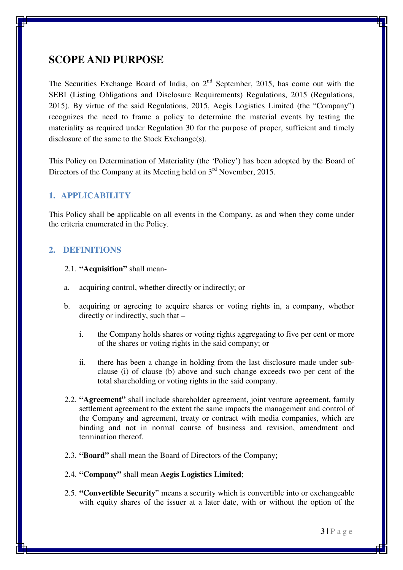# **SCOPE AND PURPOSE**

The Securities Exchange Board of India, on  $2<sup>nd</sup>$  September, 2015, has come out with the SEBI (Listing Obligations and Disclosure Requirements) Regulations, 2015 (Regulations, 2015). By virtue of the said Regulations, 2015, Aegis Logistics Limited (the "Company") recognizes the need to frame a policy to determine the material events by testing the materiality as required under Regulation 30 for the purpose of proper, sufficient and timely disclosure of the same to the Stock Exchange(s).

This Policy on Determination of Materiality (the 'Policy') has been adopted by the Board of Directors of the Company at its Meeting held on  $3<sup>rd</sup>$  November, 2015.

## **1. APPLICABILITY**

This Policy shall be applicable on all events in the Company, as and when they come under the criteria enumerated in the Policy.

#### **2. DEFINITIONS**

- 2.1. **"Acquisition"** shall mean-
- a. acquiring control, whether directly or indirectly; or
- b. acquiring or agreeing to acquire shares or voting rights in, a company, whether directly or indirectly, such that –
	- i. the Company holds shares or voting rights aggregating to five per cent or more of the shares or voting rights in the said company; or
	- ii. there has been a change in holding from the last disclosure made under subclause (i) of clause (b) above and such change exceeds two per cent of the total shareholding or voting rights in the said company.
- 2.2. **"Agreement"** shall include shareholder agreement, joint venture agreement, family settlement agreement to the extent the same impacts the management and control of the Company and agreement, treaty or contract with media companies, which are binding and not in normal course of business and revision, amendment and termination thereof.
- 2.3. **"Board"** shall mean the Board of Directors of the Company;
- 2.4. **"Company"** shall mean **Aegis Logistics Limited**;
- 2.5. **"Convertible Security**" means a security which is convertible into or exchangeable with equity shares of the issuer at a later date, with or without the option of the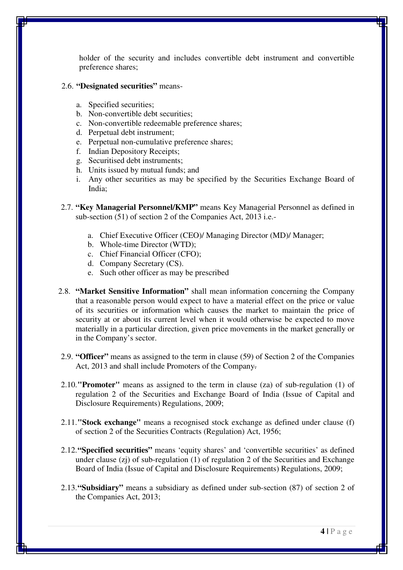holder of the security and includes convertible debt instrument and convertible preference shares;

- 2.6. **"Designated securities"** means
	- a. Specified securities;
	- b. Non-convertible debt securities;
	- c. Non-convertible redeemable preference shares;
	- d. Perpetual debt instrument;
	- e. Perpetual non-cumulative preference shares;
	- f. Indian Depository Receipts;
	- g. Securitised debt instruments;
	- h. Units issued by mutual funds; and
	- i. Any other securities as may be specified by the Securities Exchange Board of India;
- 2.7. **"Key Managerial Personnel/KMP"** means Key Managerial Personnel as defined in sub-section (51) of section 2 of the Companies Act, 2013 i.e.
	- a. Chief Executive Officer (CEO)/ Managing Director (MD)/ Manager;
	- b. Whole-time Director (WTD);
	- c. Chief Financial Officer (CFO);
	- d. Company Secretary (CS).
	- e. Such other officer as may be prescribed
- 2.8. **"Market Sensitive Information"** shall mean information concerning the Company that a reasonable person would expect to have a material effect on the price or value of its securities or information which causes the market to maintain the price of security at or about its current level when it would otherwise be expected to move materially in a particular direction, given price movements in the market generally or in the Company's sector.
- 2.9. **"Officer"** means as assigned to the term in clause (59) of Section 2 of the Companies Act, 2013 and shall include Promoters of the Company.
- 2.10.**"Promoter"** means as assigned to the term in clause (za) of sub-regulation (1) of regulation 2 of the Securities and Exchange Board of India (Issue of Capital and Disclosure Requirements) Regulations, 2009;
- 2.11.**"Stock exchange"** means a recognised stock exchange as defined under clause (f) of section 2 of the Securities Contracts (Regulation) Act, 1956;
- 2.12.**"Specified securities"** means 'equity shares' and 'convertible securities' as defined under clause  $(z<sub>i</sub>)$  of sub-regulation (1) of regulation 2 of the Securities and Exchange Board of India (Issue of Capital and Disclosure Requirements) Regulations, 2009;
- 2.13.**"Subsidiary"** means a subsidiary as defined under sub-section (87) of section 2 of the Companies Act, 2013;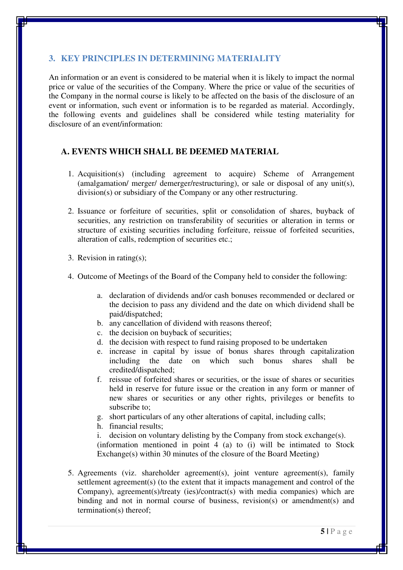# **3. KEY PRINCIPLES IN DETERMINING MATERIALITY**

An information or an event is considered to be material when it is likely to impact the normal price or value of the securities of the Company. Where the price or value of the securities of the Company in the normal course is likely to be affected on the basis of the disclosure of an event or information, such event or information is to be regarded as material. Accordingly, the following events and guidelines shall be considered while testing materiality for disclosure of an event/information:

## **A. EVENTS WHICH SHALL BE DEEMED MATERIAL**

- 1. Acquisition(s) (including agreement to acquire) Scheme of Arrangement (amalgamation/ merger/ demerger/restructuring), or sale or disposal of any unit(s), division(s) or subsidiary of the Company or any other restructuring.
- 2. Issuance or forfeiture of securities, split or consolidation of shares, buyback of securities, any restriction on transferability of securities or alteration in terms or structure of existing securities including forfeiture, reissue of forfeited securities, alteration of calls, redemption of securities etc.;
- 3. Revision in rating(s);
- 4. Outcome of Meetings of the Board of the Company held to consider the following:
	- a. declaration of dividends and/or cash bonuses recommended or declared or the decision to pass any dividend and the date on which dividend shall be paid/dispatched;
	- b. any cancellation of dividend with reasons thereof;
	- c. the decision on buyback of securities;
	- d. the decision with respect to fund raising proposed to be undertaken
	- e. increase in capital by issue of bonus shares through capitalization including the date on which such bonus shares shall be credited/dispatched;
	- f. reissue of forfeited shares or securities, or the issue of shares or securities held in reserve for future issue or the creation in any form or manner of new shares or securities or any other rights, privileges or benefits to subscribe to;
	- g. short particulars of any other alterations of capital, including calls;
	- h. financial results;
	- i. decision on voluntary delisting by the Company from stock exchange(s).

(information mentioned in point 4 (a) to (i) will be intimated to Stock Exchange(s) within 30 minutes of the closure of the Board Meeting)

5. Agreements (viz. shareholder agreement(s), joint venture agreement(s), family settlement agreement(s) (to the extent that it impacts management and control of the Company), agreement(s)/treaty (ies)/contract(s) with media companies) which are binding and not in normal course of business, revision(s) or amendment(s) and termination(s) thereof;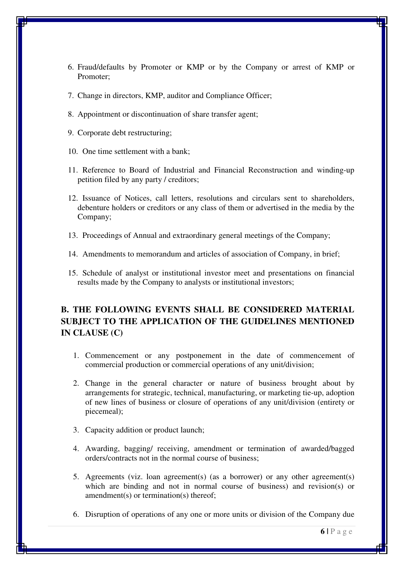- 6. Fraud/defaults by Promoter or KMP or by the Company or arrest of KMP or Promoter;
- 7. Change in directors, KMP, auditor and Compliance Officer;
- 8. Appointment or discontinuation of share transfer agent;
- 9. Corporate debt restructuring;
- 10. One time settlement with a bank;
- 11. Reference to Board of Industrial and Financial Reconstruction and winding-up petition filed by any party / creditors;
- 12. Issuance of Notices, call letters, resolutions and circulars sent to shareholders, debenture holders or creditors or any class of them or advertised in the media by the Company;
- 13. Proceedings of Annual and extraordinary general meetings of the Company;
- 14. Amendments to memorandum and articles of association of Company, in brief;
- 15. Schedule of analyst or institutional investor meet and presentations on financial results made by the Company to analysts or institutional investors;

# **B. THE FOLLOWING EVENTS SHALL BE CONSIDERED MATERIAL SUBJECT TO THE APPLICATION OF THE GUIDELINES MENTIONED IN CLAUSE (C)**

- 1. Commencement or any postponement in the date of commencement of commercial production or commercial operations of any unit/division;
- 2. Change in the general character or nature of business brought about by arrangements for strategic, technical, manufacturing, or marketing tie-up, adoption of new lines of business or closure of operations of any unit/division (entirety or piecemeal);
- 3. Capacity addition or product launch;
- 4. Awarding, bagging/ receiving, amendment or termination of awarded/bagged orders/contracts not in the normal course of business;
- 5. Agreements (viz. loan agreement(s) (as a borrower) or any other agreement(s) which are binding and not in normal course of business) and revision(s) or amendment(s) or termination(s) thereof;
- 6. Disruption of operations of any one or more units or division of the Company due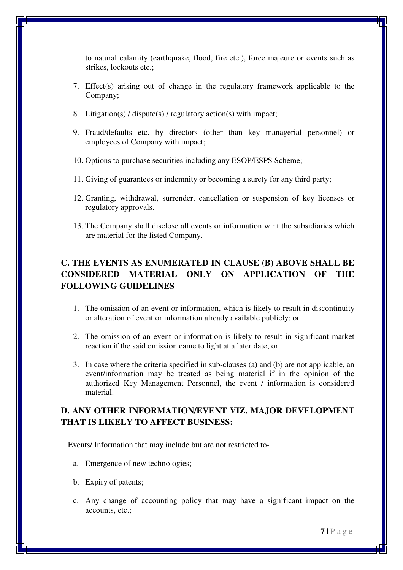to natural calamity (earthquake, flood, fire etc.), force majeure or events such as strikes, lockouts etc.;

- 7. Effect(s) arising out of change in the regulatory framework applicable to the Company;
- 8. Litigation(s) / dispute(s) / regulatory action(s) with impact;
- 9. Fraud/defaults etc. by directors (other than key managerial personnel) or employees of Company with impact;
- 10. Options to purchase securities including any ESOP/ESPS Scheme;
- 11. Giving of guarantees or indemnity or becoming a surety for any third party;
- 12. Granting, withdrawal, surrender, cancellation or suspension of key licenses or regulatory approvals.
- 13. The Company shall disclose all events or information w.r.t the subsidiaries which are material for the listed Company.

# **C. THE EVENTS AS ENUMERATED IN CLAUSE (B) ABOVE SHALL BE CONSIDERED MATERIAL ONLY ON APPLICATION OF THE FOLLOWING GUIDELINES**

- 1. The omission of an event or information, which is likely to result in discontinuity or alteration of event or information already available publicly; or
- 2. The omission of an event or information is likely to result in significant market reaction if the said omission came to light at a later date; or
- 3. In case where the criteria specified in sub-clauses (a) and (b) are not applicable, an event/information may be treated as being material if in the opinion of the authorized Key Management Personnel, the event / information is considered material.

# **D. ANY OTHER INFORMATION/EVENT VIZ. MAJOR DEVELOPMENT THAT IS LIKELY TO AFFECT BUSINESS:**

Events/ Information that may include but are not restricted to-

- a. Emergence of new technologies;
- b. Expiry of patents;
- c. Any change of accounting policy that may have a significant impact on the accounts, etc.;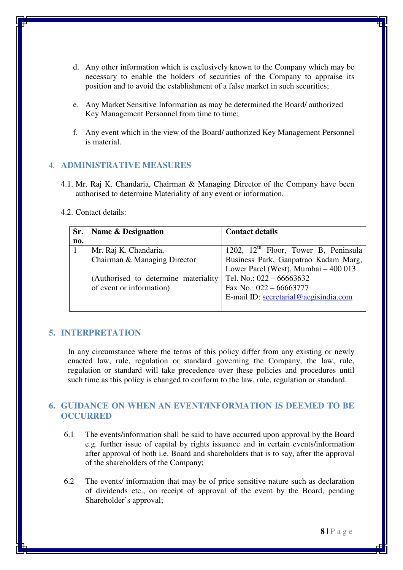- d. Any other information which is exclusively known to the Company which may be necessary to enable the holders of securities of the Company to appraise its position and to avoid the establishment of a false market in such securities;
- e. Any Market Sensitive Information as may be determined the Board/ authorized Key Management Personnel from time to time;
- f. Any event which in the view of the Board/ authorized Key Management Personnel is material.

#### 4. **ADMINISTRATIVE MEASURES**

- 4.1. Mr. Raj K. Chandaria, Chairman & Managing Director of the Company have been authorised to determine Materiality of any event or information.
- 4.2. Contact details:

| Sr. | Name & Designation                    | <b>Contact details</b>                           |
|-----|---------------------------------------|--------------------------------------------------|
| no. |                                       |                                                  |
|     | Mr. Raj K. Chandaria,                 | 1202, 12 <sup>th</sup> Floor, Tower B, Peninsula |
|     | Chairman & Managing Director          | Business Park, Ganpatrao Kadam Marg,             |
|     |                                       | Lower Parel (West), Mumbai - 400 013             |
|     | (Authorised to determine materiality) | Tel. No.: $022 - 66663632$                       |
|     | of event or information)              | Fax No.: 022 - 66663777                          |
|     |                                       | E-mail ID: secretarial@aegisindia.com            |
|     |                                       |                                                  |

## **5. INTERPRETATION**

In any circumstance where the terms of this policy differ from any existing or newly enacted law, rule, regulation or standard governing the Company, the law, rule, regulation or standard will take precedence over these policies and procedures until such time as this policy is changed to conform to the law, rule, regulation or standard.

# **6. GUIDANCE ON WHEN AN EVENT/INFORMATION IS DEEMED TO BE OCCURRED**

- 6.1 The events/information shall be said to have occurred upon approval by the Board e.g. further issue of capital by rights issuance and in certain events/information after approval of both i.e. Board and shareholders that is to say, after the approval of the shareholders of the Company;
- 6.2 The events/ information that may be of price sensitive nature such as declaration of dividends etc., on receipt of approval of the event by the Board, pending Shareholder's approval;